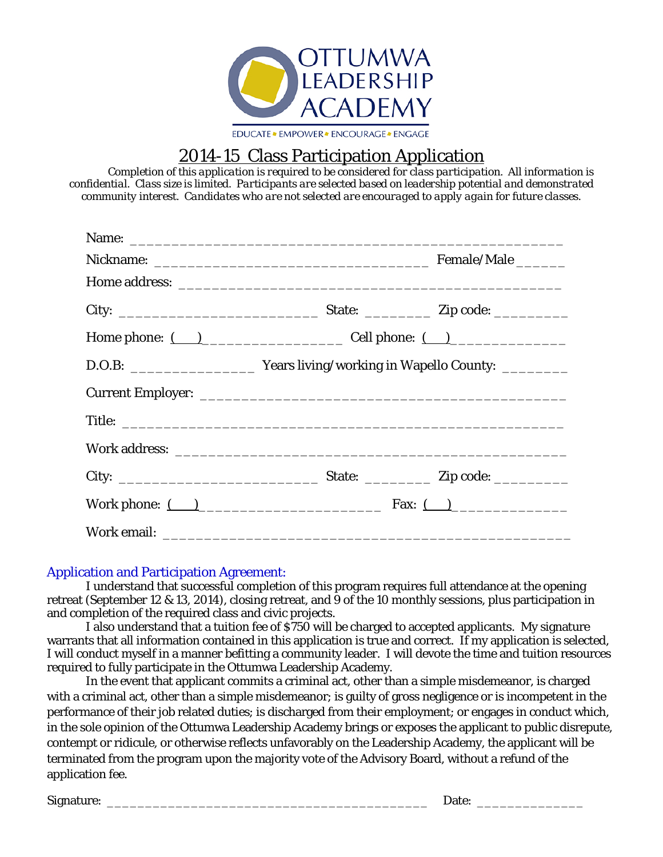

# 2014-15 Class Participation Application

*Completion of this application is required to be considered for class participation. All information is confidential. Class size is limited. Participants are selected based on leadership potential and demonstrated community interest. Candidates who are not selected are encouraged to apply again for future classes.*

| Home phone: $\qquad \qquad$ $\qquad$ $\qquad$ $\qquad$ $\qquad$ $\qquad$ $\qquad$ $\qquad$ $\qquad$ $\qquad$ $\qquad$ $\qquad$ $\qquad$ $\qquad$ $\qquad$ $\qquad$ $\qquad$ $\qquad$ $\qquad$ $\qquad$ $\qquad$ $\qquad$ $\qquad$ $\qquad$ $\qquad$ $\qquad$ $\qquad$ $\qquad$ $\qquad$ $\qquad$ $\qquad$ $\qquad$ $\qquad$ $\qquad$ $\$ |  |  |
|------------------------------------------------------------------------------------------------------------------------------------------------------------------------------------------------------------------------------------------------------------------------------------------------------------------------------------------|--|--|
|                                                                                                                                                                                                                                                                                                                                          |  |  |
|                                                                                                                                                                                                                                                                                                                                          |  |  |
|                                                                                                                                                                                                                                                                                                                                          |  |  |
|                                                                                                                                                                                                                                                                                                                                          |  |  |
|                                                                                                                                                                                                                                                                                                                                          |  |  |
| Work phone: $($ $)$                                                                                                                                                                                                                                                                                                                      |  |  |
|                                                                                                                                                                                                                                                                                                                                          |  |  |

### Application and Participation Agreement:

I understand that successful completion of this program requires full attendance at the opening retreat (September 12 & 13, 2014), closing retreat, and 9 of the 10 monthly sessions, plus participation in and completion of the required class and civic projects.

I also understand that a tuition fee of \$750 will be charged to accepted applicants. My signature warrants that all information contained in this application is true and correct. If my application is selected, I will conduct myself in a manner befitting a community leader. I will devote the time and tuition resources required to fully participate in the Ottumwa Leadership Academy.

In the event that applicant commits a criminal act, other than a simple misdemeanor, is charged with a criminal act, other than a simple misdemeanor; is guilty of gross negligence or is incompetent in the performance of their job related duties; is discharged from their employment; or engages in conduct which, in the sole opinion of the Ottumwa Leadership Academy brings or exposes the applicant to public disrepute, contempt or ridicule, or otherwise reflects unfavorably on the Leadership Academy, the applicant will be terminated from the program upon the majority vote of the Advisory Board, without a refund of the application fee.

Signature: \_\_\_\_\_\_\_\_\_\_\_\_\_\_\_\_\_\_\_\_\_\_\_\_\_\_\_\_\_\_\_\_\_\_\_\_\_\_\_\_\_\_ Date: \_\_\_\_\_\_\_\_\_\_\_\_\_\_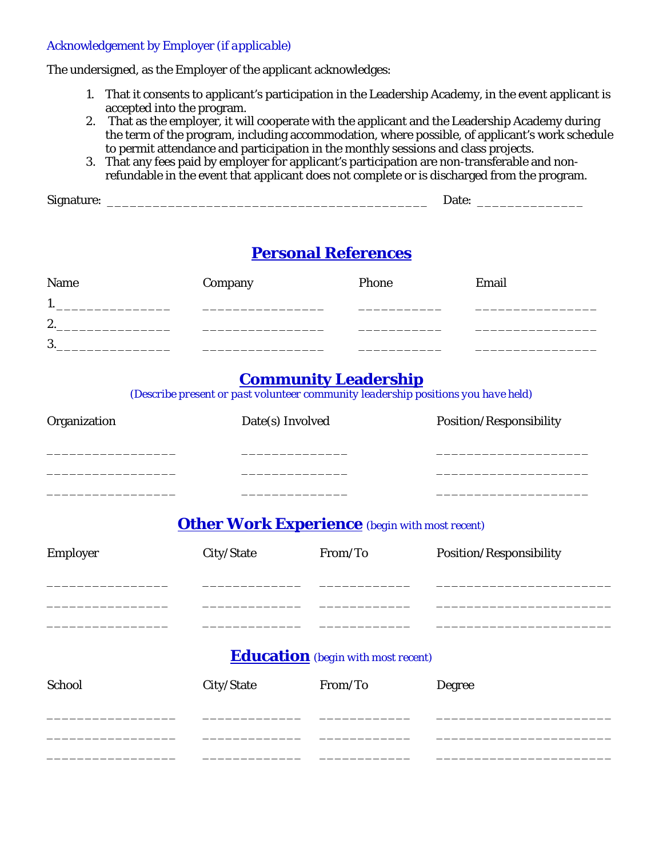#### Acknowledgement by Employer *(if applicable)*

The undersigned, as the Employer of the applicant acknowledges:

- 1. That it consents to applicant's participation in the Leadership Academy, in the event applicant is accepted into the program.
- 2. That as the employer, it will cooperate with the applicant and the Leadership Academy during the term of the program, including accommodation, where possible, of applicant's work schedule to permit attendance and participation in the monthly sessions and class projects.
- 3. That any fees paid by employer for applicant's participation are non-transferable and nonrefundable in the event that applicant does not complete or is discharged from the program.

## **Personal References**

| Name | Company | Phone | Email |
|------|---------|-------|-------|
| . .  |         |       |       |
| 2.   |         |       |       |
| 3.   |         |       |       |

## **Community Leadership**

*(Describe present or past volunteer community leadership positions you have held)*

| Organization | Date(s) Involved |                                                                  | Position/Responsibility |
|--------------|------------------|------------------------------------------------------------------|-------------------------|
| Employer     | City/State       | <b>Other Work Experience</b> (begin with most recent)<br>From/To | Position/Responsibility |
|              |                  |                                                                  |                         |
|              |                  | <b>Education</b> (begin with most recent)                        |                         |
| School       | City/State       | From/To                                                          | <b>Degree</b>           |
|              |                  |                                                                  |                         |
|              |                  |                                                                  |                         |